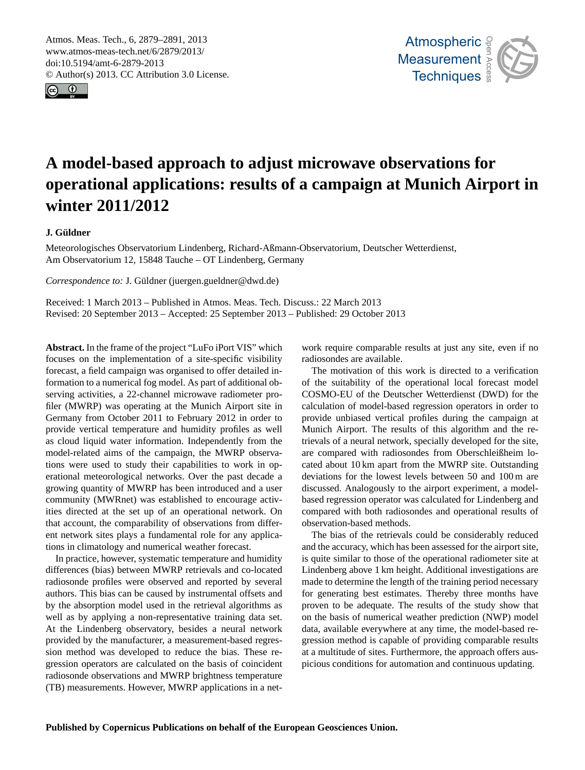<span id="page-0-0"></span>Atmos. Meas. Tech., 6, 2879–2891, 2013 www.atmos-meas-tech.net/6/2879/2013/ doi:10.5194/amt-6-2879-2013 © Author(s) 2013. CC Attribution 3.0 License.





# **A model-based approach to adjust microwave observations for operational applications: results of a campaign at Munich Airport in winter 2011/2012**

## **J. Güldner**

Meteorologisches Observatorium Lindenberg, Richard-Aßmann-Observatorium, Deutscher Wetterdienst, Am Observatorium 12, 15848 Tauche – OT Lindenberg, Germany

*Correspondence to:* J. Güldner (juergen.gueldner@dwd.de)

Received: 1 March 2013 – Published in Atmos. Meas. Tech. Discuss.: 22 March 2013 Revised: 20 September 2013 – Accepted: 25 September 2013 – Published: 29 October 2013

**Abstract.** In the frame of the project "LuFo iPort VIS" which focuses on the implementation of a site-specific visibility forecast, a field campaign was organised to offer detailed information to a numerical fog model. As part of additional observing activities, a 22-channel microwave radiometer profiler (MWRP) was operating at the Munich Airport site in Germany from October 2011 to February 2012 in order to provide vertical temperature and humidity profiles as well as cloud liquid water information. Independently from the model-related aims of the campaign, the MWRP observations were used to study their capabilities to work in operational meteorological networks. Over the past decade a growing quantity of MWRP has been introduced and a user community (MWRnet) was established to encourage activities directed at the set up of an operational network. On that account, the comparability of observations from different network sites plays a fundamental role for any applications in climatology and numerical weather forecast.

In practice, however, systematic temperature and humidity differences (bias) between MWRP retrievals and co-located radiosonde profiles were observed and reported by several authors. This bias can be caused by instrumental offsets and by the absorption model used in the retrieval algorithms as well as by applying a non-representative training data set. At the Lindenberg observatory, besides a neural network provided by the manufacturer, a measurement-based regression method was developed to reduce the bias. These regression operators are calculated on the basis of coincident radiosonde observations and MWRP brightness temperature (TB) measurements. However, MWRP applications in a network require comparable results at just any site, even if no radiosondes are available.

The motivation of this work is directed to a verification of the suitability of the operational local forecast model COSMO-EU of the Deutscher Wetterdienst (DWD) for the calculation of model-based regression operators in order to provide unbiased vertical profiles during the campaign at Munich Airport. The results of this algorithm and the retrievals of a neural network, specially developed for the site, are compared with radiosondes from Oberschleißheim located about 10 km apart from the MWRP site. Outstanding deviations for the lowest levels between 50 and 100 m are discussed. Analogously to the airport experiment, a modelbased regression operator was calculated for Lindenberg and compared with both radiosondes and operational results of observation-based methods.

The bias of the retrievals could be considerably reduced and the accuracy, which has been assessed for the airport site, is quite similar to those of the operational radiometer site at Lindenberg above 1 km height. Additional investigations are made to determine the length of the training period necessary for generating best estimates. Thereby three months have proven to be adequate. The results of the study show that on the basis of numerical weather prediction (NWP) model data, available everywhere at any time, the model-based regression method is capable of providing comparable results at a multitude of sites. Furthermore, the approach offers auspicious conditions for automation and continuous updating.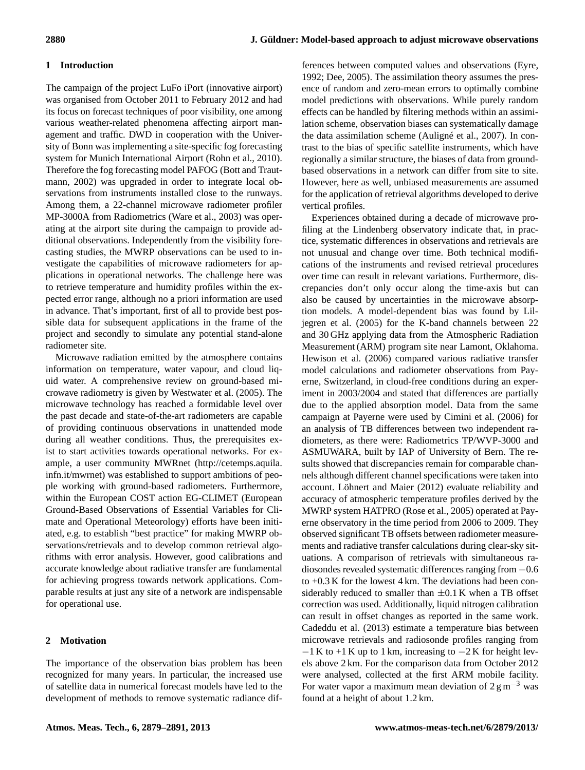## **1 Introduction**

The campaign of the project LuFo iPort (innovative airport) was organised from October 2011 to February 2012 and had its focus on forecast techniques of poor visibility, one among various weather-related phenomena affecting airport management and traffic. DWD in cooperation with the University of Bonn was implementing a site-specific fog forecasting system for Munich International Airport [\(Rohn et al.,](#page-12-0) [2010\)](#page-12-0). Therefore the fog forecasting model PAFOG [\(Bott and Traut](#page-11-0)[mann,](#page-11-0) [2002\)](#page-11-0) was upgraded in order to integrate local observations from instruments installed close to the runways. Among them, a 22-channel microwave radiometer profiler MP-3000A from Radiometrics [\(Ware et al.,](#page-12-1) [2003\)](#page-12-1) was operating at the airport site during the campaign to provide additional observations. Independently from the visibility forecasting studies, the MWRP observations can be used to investigate the capabilities of microwave radiometers for applications in operational networks. The challenge here was to retrieve temperature and humidity profiles within the expected error range, although no a priori information are used in advance. That's important, first of all to provide best possible data for subsequent applications in the frame of the project and secondly to simulate any potential stand-alone radiometer site.

Microwave radiation emitted by the atmosphere contains information on temperature, water vapour, and cloud liquid water. A comprehensive review on ground-based microwave radiometry is given by [Westwater et al.](#page-12-2) [\(2005\)](#page-12-2). The microwave technology has reached a formidable level over the past decade and state-of-the-art radiometers are capable of providing continuous observations in unattended mode during all weather conditions. Thus, the prerequisites exist to start activities towards operational networks. For example, a user community MWRnet [\(http://cetemps.aquila.](http://cetemps.aquila.infn.it/mwrnet) [infn.it/mwrnet\)](http://cetemps.aquila.infn.it/mwrnet) was established to support ambitions of people working with ground-based radiometers. Furthermore, within the European COST action EG-CLIMET (European Ground-Based Observations of Essential Variables for Climate and Operational Meteorology) efforts have been initiated, e.g. to establish "best practice" for making MWRP observations/retrievals and to develop common retrieval algorithms with error analysis. However, good calibrations and accurate knowledge about radiative transfer are fundamental for achieving progress towards network applications. Comparable results at just any site of a network are indispensable for operational use.

## **2 Motivation**

The importance of the observation bias problem has been recognized for many years. In particular, the increased use of satellite data in numerical forecast models have led to the development of methods to remove systematic radiance differences between computed values and observations [\(Eyre,](#page-11-1) [1992;](#page-11-1) [Dee,](#page-11-2) [2005\)](#page-11-2). The assimilation theory assumes the presence of random and zero-mean errors to optimally combine model predictions with observations. While purely random effects can be handled by filtering methods within an assimilation scheme, observation biases can systematically damage the data assimilation scheme [\(Auligné et al.,](#page-11-3) [2007\)](#page-11-3). In contrast to the bias of specific satellite instruments, which have regionally a similar structure, the biases of data from groundbased observations in a network can differ from site to site. However, here as well, unbiased measurements are assumed for the application of retrieval algorithms developed to derive vertical profiles.

Experiences obtained during a decade of microwave profiling at the Lindenberg observatory indicate that, in practice, systematic differences in observations and retrievals are not unusual and change over time. Both technical modifications of the instruments and revised retrieval procedures over time can result in relevant variations. Furthermore, discrepancies don't only occur along the time-axis but can also be caused by uncertainties in the microwave absorption models. A model-dependent bias was found by [Lil](#page-12-3)[jegren et al.](#page-12-3) [\(2005\)](#page-12-3) for the K-band channels between 22 and 30 GHz applying data from the Atmospheric Radiation Measurement (ARM) program site near Lamont, Oklahoma. [Hewison et al.](#page-12-4) [\(2006\)](#page-12-4) compared various radiative transfer model calculations and radiometer observations from Payerne, Switzerland, in cloud-free conditions during an experiment in 2003/2004 and stated that differences are partially due to the applied absorption model. Data from the same campaign at Payerne were used by [Cimini et al.](#page-11-4) [\(2006\)](#page-11-4) for an analysis of TB differences between two independent radiometers, as there were: Radiometrics TP/WVP-3000 and ASMUWARA, built by IAP of University of Bern. The results showed that discrepancies remain for comparable channels although different channel specifications were taken into account. [Löhnert and Maier](#page-12-5) [\(2012\)](#page-12-5) evaluate reliability and accuracy of atmospheric temperature profiles derived by the MWRP system HATPRO [\(Rose et al.,](#page-12-6) [2005\)](#page-12-6) operated at Payerne observatory in the time period from 2006 to 2009. They observed significant TB offsets between radiometer measurements and radiative transfer calculations during clear-sky situations. A comparison of retrievals with simultaneous radiosondes revealed systematic differences ranging from −0.6 to +0.3 K for the lowest 4 km. The deviations had been considerably reduced to smaller than  $\pm 0.1$  K when a TB offset correction was used. Additionally, liquid nitrogen calibration can result in offset changes as reported in the same work. [Cadeddu et al.](#page-11-5) [\(2013\)](#page-11-5) estimate a temperature bias between microwave retrievals and radiosonde profiles ranging from  $-1$  K to +1 K up to 1 km, increasing to  $-2$  K for height levels above 2 km. For the comparison data from October 2012 were analysed, collected at the first ARM mobile facility. For water vapor a maximum mean deviation of  $2 \text{ g m}^{-3}$  was found at a height of about 1.2 km.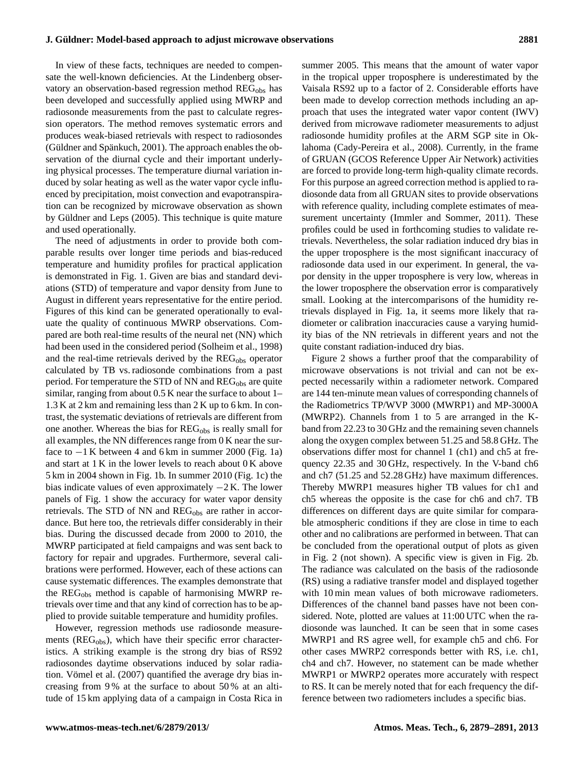In view of these facts, techniques are needed to compensate the well-known deficiencies. At the Lindenberg observatory an observation-based regression method REG<sub>obs</sub> has been developed and successfully applied using MWRP and radiosonde measurements from the past to calculate regression operators. The method removes systematic errors and produces weak-biased retrievals with respect to radiosondes [\(Güldner and Spänkuch,](#page-11-6) [2001\)](#page-11-6). The approach enables the observation of the diurnal cycle and their important underlying physical processes. The temperature diurnal variation induced by solar heating as well as the water vapor cycle influenced by precipitation, moist convection and evapotranspiration can be recognized by microwave observation as shown by [Güldner and Leps](#page-11-7) [\(2005\)](#page-11-7). This technique is quite mature and used operationally.

The need of adjustments in order to provide both comparable results over longer time periods and bias-reduced temperature and humidity profiles for practical application is demonstrated in Fig. [1.](#page-3-0) Given are bias and standard deviations (STD) of temperature and vapor density from June to August in different years representative for the entire period. Figures of this kind can be generated operationally to evaluate the quality of continuous MWRP observations. Compared are both real-time results of the neural net (NN) which had been used in the considered period [\(Solheim et al.,](#page-12-7) [1998\)](#page-12-7) and the real-time retrievals derived by the  $REG<sub>obs</sub>$  operator calculated by TB vs. radiosonde combinations from a past period. For temperature the STD of NN and  $REG<sub>obs</sub>$  are quite similar, ranging from about 0.5 K near the surface to about 1– 1.3 K at 2 km and remaining less than 2 K up to 6 km. In contrast, the systematic deviations of retrievals are different from one another. Whereas the bias for REG<sub>obs</sub> is really small for all examples, the NN differences range from 0 K near the surface to  $-1$  K between 4 and 6 km in summer 2000 (Fig. [1a](#page-3-0)) and start at 1 K in the lower levels to reach about 0 K above 5 km in 2004 shown in Fig. [1b](#page-3-0). In summer 2010 (Fig. [1c](#page-3-0)) the bias indicate values of even approximately −2 K. The lower panels of Fig. [1](#page-3-0) show the accuracy for water vapor density retrievals. The STD of NN and  $REG<sub>obs</sub>$  are rather in accordance. But here too, the retrievals differ considerably in their bias. During the discussed decade from 2000 to 2010, the MWRP participated at field campaigns and was sent back to factory for repair and upgrades. Furthermore, several calibrations were performed. However, each of these actions can cause systematic differences. The examples demonstrate that the  $REG<sub>obs</sub>$  method is capable of harmonising MWRP retrievals over time and that any kind of correction has to be applied to provide suitable temperature and humidity profiles.

However, regression methods use radiosonde measurements  $(REG<sub>obs</sub>)$ , which have their specific error characteristics. A striking example is the strong dry bias of RS92 radiosondes daytime observations induced by solar radiation. [Vömel et al.](#page-12-8) [\(2007\)](#page-12-8) quantified the average dry bias increasing from 9 % at the surface to about 50 % at an altitude of 15 km applying data of a campaign in Costa Rica in summer 2005. This means that the amount of water vapor in the tropical upper troposphere is underestimated by the Vaisala RS92 up to a factor of 2. Considerable efforts have been made to develop correction methods including an approach that uses the integrated water vapor content (IWV) derived from microwave radiometer measurements to adjust radiosonde humidity profiles at the ARM SGP site in Oklahoma [\(Cady-Pereira et al.,](#page-11-8) [2008\)](#page-11-8). Currently, in the frame of GRUAN (GCOS Reference Upper Air Network) activities are forced to provide long-term high-quality climate records. For this purpose an agreed correction method is applied to radiosonde data from all GRUAN sites to provide observations with reference quality, including complete estimates of measurement uncertainty [\(Immler and Sommer,](#page-12-9) [2011\)](#page-12-9). These profiles could be used in forthcoming studies to validate retrievals. Nevertheless, the solar radiation induced dry bias in the upper troposphere is the most significant inaccuracy of radiosonde data used in our experiment. In general, the vapor density in the upper troposphere is very low, whereas in the lower troposphere the observation error is comparatively small. Looking at the intercomparisons of the humidity retrievals displayed in Fig. [1a](#page-3-0), it seems more likely that radiometer or calibration inaccuracies cause a varying humidity bias of the NN retrievals in different years and not the quite constant radiation-induced dry bias.

Figure [2](#page-4-0) shows a further proof that the comparability of microwave observations is not trivial and can not be expected necessarily within a radiometer network. Compared are 144 ten-minute mean values of corresponding channels of the Radiometrics TP/WVP 3000 (MWRP1) and MP-3000A (MWRP2). Channels from 1 to 5 are arranged in the Kband from 22.23 to 30 GHz and the remaining seven channels along the oxygen complex between 51.25 and 58.8 GHz. The observations differ most for channel 1 (ch1) and ch5 at frequency 22.35 and 30 GHz, respectively. In the V-band ch6 and ch7 (51.25 and 52.28 GHz) have maximum differences. Thereby MWRP1 measures higher TB values for ch1 and ch5 whereas the opposite is the case for ch6 and ch7. TB differences on different days are quite similar for comparable atmospheric conditions if they are close in time to each other and no calibrations are performed in between. That can be concluded from the operational output of plots as given in Fig. 2 (not shown). A specific view is given in Fig. [2b](#page-4-0). The radiance was calculated on the basis of the radiosonde (RS) using a radiative transfer model and displayed together with 10 min mean values of both microwave radiometers. Differences of the channel band passes have not been considered. Note, plotted are values at 11:00 UTC when the radiosonde was launched. It can be seen that in some cases MWRP1 and RS agree well, for example ch5 and ch6. For other cases MWRP2 corresponds better with RS, i.e. ch1, ch4 and ch7. However, no statement can be made whether MWRP1 or MWRP2 operates more accurately with respect to RS. It can be merely noted that for each frequency the difference between two radiometers includes a specific bias.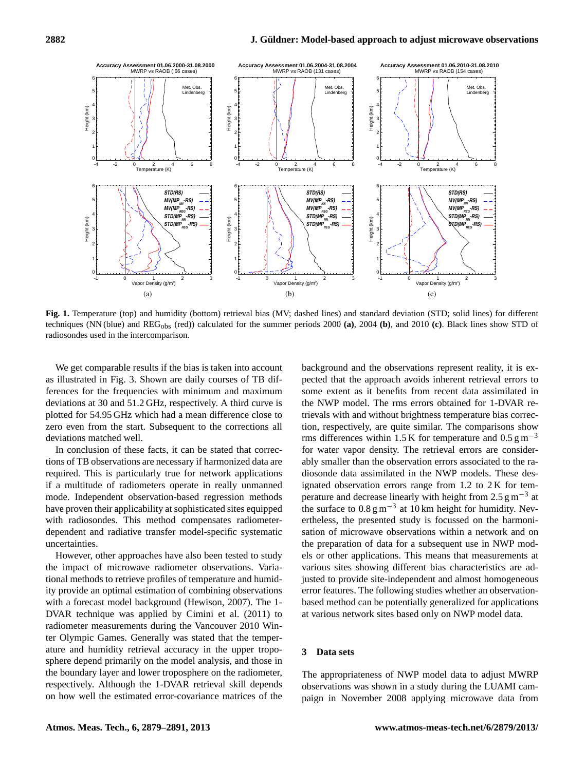

<span id="page-3-0"></span>Fig. 1. Temperature (top) and humidity (bottom) retrieval bias (MV; dashed lines) and standard deviation (STD; solid lines) for different techniques (NN (blue) and  $REG_{obs}$  (red)) calculated for the summer periods 2000 (a), 2004 (b), and 2010 (c). Black lines show STD of radiosondes used in the intercomparison.

We get comparable results if the bias is taken into account as illustrated in Fig. [3.](#page-4-1) Shown are daily courses of TB differences for the frequencies with minimum and maximum deviations at 30 and 51.2 GHz, respectively. A third curve is plotted for 54.95 GHz which had a mean difference close to zero even from the start. Subsequent to the corrections all deviations matched well.

In conclusion of these facts, it can be stated that corrections of TB observations are necessary if harmonized data are required. This is particularly true for network applications if a multitude of radiometers operate in really unmanned mode. Independent observation-based regression methods have proven their applicability at sophisticated sites equipped with radiosondes. This method compensates radiometerdependent and radiative transfer model-specific systematic uncertainties.

However, other approaches have also been tested to study the impact of microwave radiometer observations. Variational methods to retrieve profiles of temperature and humidity provide an optimal estimation of combining observations with a forecast model background [\(Hewison,](#page-11-9) [2007\)](#page-11-9). The 1- DVAR technique was applied by [Cimini et al.](#page-11-10) [\(2011\)](#page-11-10) to radiometer measurements during the Vancouver 2010 Winter Olympic Games. Generally was stated that the temperature and humidity retrieval accuracy in the upper troposphere depend primarily on the model analysis, and those in the boundary layer and lower troposphere on the radiometer, respectively. Although the 1-DVAR retrieval skill depends on how well the estimated error-covariance matrices of the background and the observations represent reality, it is expected that the approach avoids inherent retrieval errors to some extent as it benefits from recent data assimilated in the NWP model. The rms errors obtained for 1-DVAR retrievals with and without brightness temperature bias correction, respectively, are quite similar. The comparisons show rms differences within 1.5 K for temperature and  $0.5 \text{ g m}^{-3}$ for water vapor density. The retrieval errors are considerably smaller than the observation errors associated to the radiosonde data assimilated in the NWP models. These designated observation errors range from  $1.2$  to  $2K$  for temperature and decrease linearly with height from  $2.5 \text{ g m}^{-3}$  at the surface to  $0.8 \text{ g m}^{-3}$  at 10 km height for humidity. Nevertheless, the presented study is focussed on the harmonisation of microwave observations within a network and on the preparation of data for a subsequent use in NWP models or other applications. This means that measurements at various sites showing different bias characteristics are adjusted to provide site-independent and almost homogeneous error features. The following studies whether an observationbased method can be potentially generalized for applications at various network sites based only on NWP model data.

#### **3 Data sets**

The appropriateness of NWP model data to adjust MWRP observations was shown in a study during the LUAMI campaign in November 2008 applying microwave data from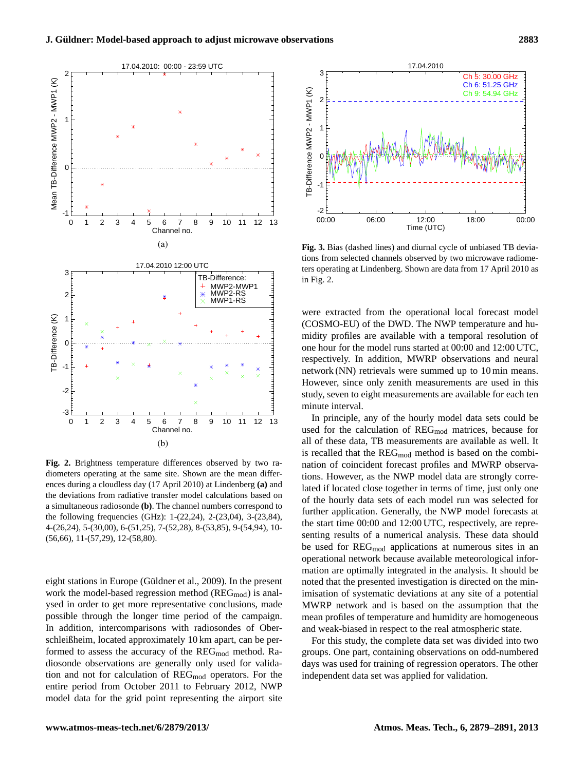

<span id="page-4-0"></span>diometers operating at the same site. Shown are the mean differences during a cloudless day (17 April 2010) at Lindenberg **(a)** and a simultaneous radiosonde **(b)**. The channel numbers correspond to the following frequencies  $(GHz)$ : 1- $(22,24)$ , 2- $(23,04)$ , 3- $(23,84)$ ,  $4-(26,24)$ , 5-(30,00), 6-(51,25), 7-(52,28), 8-(53,85), 9-(54,94), 10- $(56,66), 11-(57,29), 12-(58,80).$ **Fig. 2.** Brightness temperature differences observed by two rathe deviations from radiative transfer model calculations based on

eight stations in Europe [\(Güldner et al.,](#page-11-11) [2009\)](#page-11-11). In the present work the model-based regression method ( $REG_{mod}$ ) is analysed in order to get more representative conclusions, made possible through the longer time period of the campaign. In addition, intercomparisons with radiosondes of Oberschleißheim, located approximately 10 km apart, can be performed to assess the accuracy of the  $REG_{mod}$  method. Radiosonde observations are generally only used for validation and not for calculation of REGmod operators. For the entire period from October 2011 to February 2012, NWP model data for the grid point representing the airport site



<span id="page-4-1"></span>tions from selected channels observed by two microwave radiometers operating at Lindenberg. Shown are data from 17 April 2010 as<br> $\frac{1}{2}$ can crow radiometers operating at  $L$ **Fig. 3.** Bias (dashed lines) and diurnal cycle of unbiased TB deviain Fig. [2.](#page-4-0)

were extracted from the operational local forecast model (COSMO-EU) of the DWD. The NWP temperature and humidity profiles are available with a temporal resolution of one hour for the model runs started at 00:00 and 12:00 UTC, respectively. In addition, MWRP observations and neural network (NN) retrievals were summed up to 10 min means. However, since only zenith measurements are used in this study, seven to eight measurements are available for each ten minute interval.

In principle, any of the hourly model data sets could be used for the calculation of REGmod matrices, because for all of these data, TB measurements are available as well. It is recalled that the  $REG_{mod}$  method is based on the combination of coincident forecast profiles and MWRP observations. However, as the NWP model data are strongly correlated if located close together in terms of time, just only one of the hourly data sets of each model run was selected for further application. Generally, the NWP model forecasts at the start time 00:00 and 12:00 UTC, respectively, are representing results of a numerical analysis. These data should be used for REG<sub>mod</sub> applications at numerous sites in an operational network because available meteorological information are optimally integrated in the analysis. It should be noted that the presented investigation is directed on the minimisation of systematic deviations at any site of a potential MWRP network and is based on the assumption that the mean profiles of temperature and humidity are homogeneous and weak-biased in respect to the real atmospheric state.

For this study, the complete data set was divided into two groups. One part, containing observations on odd-numbered days was used for training of regression operators. The other independent data set was applied for validation.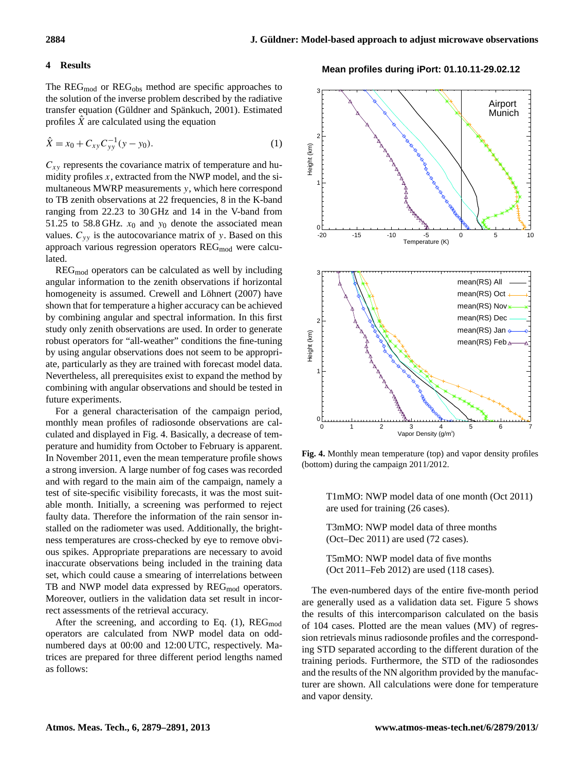## **4 Results**

The  $REG_{mod}$  or  $REG_{obs}$  method are specific approaches to the solution of the inverse problem described by the radiative transfer equation [\(Güldner and Spänkuch,](#page-11-6) [2001\)](#page-11-6). Estimated profiles  $\hat{X}$  are calculated using the equation

$$
\hat{X} = x_0 + C_{xy} C_{yy}^{-1} (y - y_0).
$$
\n(1)

 $C_{xy}$  represents the covariance matrix of temperature and humidity profiles  $x$ , extracted from the NWP model, and the simultaneous MWRP measurements y, which here correspond to TB zenith observations at 22 frequencies, 8 in the K-band ranging from 22.23 to 30 GHz and 14 in the V-band from 51.25 to 58.8 GHz.  $x_0$  and  $y_0$  denote the associated mean values.  $C_{yy}$  is the autocovariance matrix of y. Based on this approach various regression operators REGmod were calculated.

REGmod operators can be calculated as well by including angular information to the zenith observations if horizontal homogeneity is assumed. [Crewell and Löhnert](#page-11-12) [\(2007\)](#page-11-12) have shown that for temperature a higher accuracy can be achieved by combining angular and spectral information. In this first study only zenith observations are used. In order to generate robust operators for "all-weather" conditions the fine-tuning by using angular observations does not seem to be appropriate, particularly as they are trained with forecast model data. Nevertheless, all prerequisites exist to expand the method by combining with angular observations and should be tested in future experiments.

For a general characterisation of the campaign period, monthly mean profiles of radiosonde observations are calculated and displayed in Fig. [4.](#page-5-0) Basically, a decrease of temperature and humidity from October to February is apparent. In November 2011, even the mean temperature profile shows a strong inversion. A large number of fog cases was recorded and with regard to the main aim of the campaign, namely a test of site-specific visibility forecasts, it was the most suitable month. Initially, a screening was performed to reject faulty data. Therefore the information of the rain sensor installed on the radiometer was used. Additionally, the brightness temperatures are cross-checked by eye to remove obvious spikes. Appropriate preparations are necessary to avoid inaccurate observations being included in the training data set, which could cause a smearing of interrelations between TB and NWP model data expressed by  $REG_{mod}$  operators. Moreover, outliers in the validation data set result in incorrect assessments of the retrieval accuracy.

After the screening, and according to Eq.  $(1)$ , REG<sub>mod</sub> operators are calculated from NWP model data on oddnumbered days at 00:00 and 12:00 UTC, respectively. Matrices are prepared for three different period lengths named as follows:

**Mean profiles during iPort: 01.10.11-29.02.12**



<span id="page-5-0"></span> $\begin{array}{cc} \hline \end{array}$ **Fig. 4.** Monthly mean temperature (top) and vapor density profiles (bottom) during the campaign 2011/2012.

T1mMO: NWP model data of one month (Oct 2011) are used for training (26 cases).

T3mMO: NWP model data of three months (Oct–Dec 2011) are used (72 cases).

T5mMO: NWP model data of five months (Oct 2011–Feb 2012) are used (118 cases).

The even-numbered days of the entire five-month period are generally used as a validation data set. Figure [5](#page-6-0) shows the results of this intercomparison calculated on the basis of 104 cases. Plotted are the mean values (MV) of regression retrievals minus radiosonde profiles and the corresponding STD separated according to the different duration of the training periods. Furthermore, the STD of the radiosondes and the results of the NN algorithm provided by the manufacturer are shown. All calculations were done for temperature and vapor density.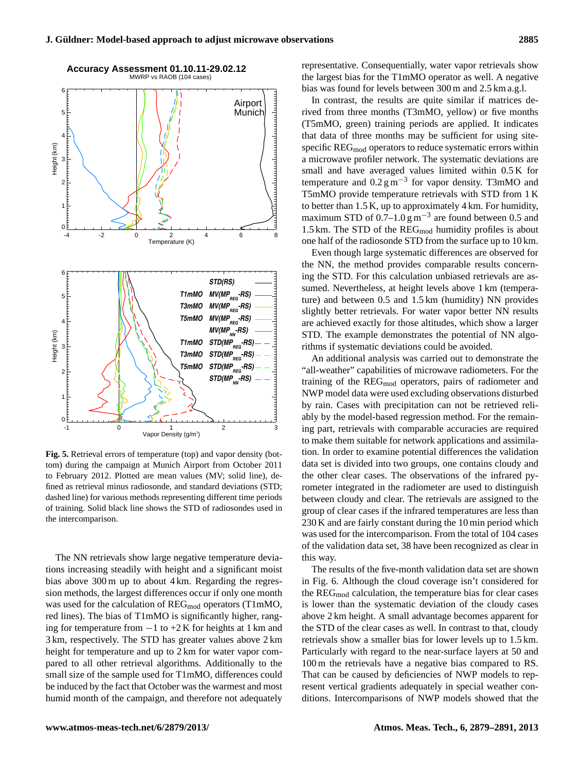

<span id="page-6-0"></span>to February 2012. Plotted are mean values (MV; solid line), defined as retrieval minus radiosonde, and standard deviations (STD; dashed line) for various methods representing different time periods of training. Solid black line shows the STD of radiosondes used in the intercomparison. **Fig. 5.** Retrieval errors of temperature (top) and vapor density (bottom) during the campaign at Munich Airport from October 2011 the intercomparison.

The NN retrievals show large negative temperature deviason. tions increasing steadily with height and a significant moist bias above 300 m up to about 4 km. Regarding the regression methods, the largest differences occur if only one month was used for the calculation of REG<sub>mod</sub> operators (T1mMO, red lines). The bias of T1mMO is significantly higher, ranging for temperature from  $-1$  to  $+2$  K for heights at 1 km and 3 km, respectively. The STD has greater values above 2 km height for temperature and up to 2 km for water vapor compared to all other retrieval algorithms. Additionally to the small size of the sample used for T1mMO, differences could be induced by the fact that October was the warmest and most humid month of the campaign, and therefore not adequately

representative. Consequentially, water vapor retrievals show the largest bias for the T1mMO operator as well. A negative bias was found for levels between 300 m and 2.5 km a.g.l.

In contrast, the results are quite similar if matrices derived from three months (T3mMO, yellow) or five months (T5mMO, green) training periods are applied. It indicates that data of three months may be sufficient for using sitespecific REG<sub>mod</sub> operators to reduce systematic errors within a microwave profiler network. The systematic deviations are small and have averaged values limited within 0.5 K for temperature and  $0.2 \text{ g m}^{-3}$  for vapor density. T3mMO and T5mMO provide temperature retrievals with STD from 1 K to better than 1.5 K, up to approximately 4 km. For humidity, maximum STD of  $0.7-1.0 \text{ g m}^{-3}$  are found between 0.5 and 1.5 km. The STD of the  $REG_{mod}$  humidity profiles is about one half of the radiosonde STD from the surface up to 10 km.

Even though large systematic differences are observed for the NN, the method provides comparable results concerning the STD. For this calculation unbiased retrievals are assumed. Nevertheless, at height levels above 1 km (temperature) and between 0.5 and 1.5 km (humidity) NN provides slightly better retrievals. For water vapor better NN results are achieved exactly for those altitudes, which show a larger STD. The example demonstrates the potential of NN algorithms if systematic deviations could be avoided.

An additional analysis was carried out to demonstrate the "all-weather" capabilities of microwave radiometers. For the training of the REGmod operators, pairs of radiometer and NWP model data were used excluding observations disturbed by rain. Cases with precipitation can not be retrieved reliably by the model-based regression method. For the remaining part, retrievals with comparable accuracies are required to make them suitable for network applications and assimilation. In order to examine potential differences the validation data set is divided into two groups, one contains cloudy and the other clear cases. The observations of the infrared pyrometer integrated in the radiometer are used to distinguish between cloudy and clear. The retrievals are assigned to the group of clear cases if the infrared temperatures are less than 230 K and are fairly constant during the 10 min period which was used for the intercomparison. From the total of 104 cases of the validation data set, 38 have been recognized as clear in this way.

The results of the five-month validation data set are shown in Fig. [6.](#page-7-0) Although the cloud coverage isn't considered for the  $REG_{mod}$  calculation, the temperature bias for clear cases is lower than the systematic deviation of the cloudy cases above 2 km height. A small advantage becomes apparent for the STD of the clear cases as well. In contrast to that, cloudy retrievals show a smaller bias for lower levels up to 1.5 km. Particularly with regard to the near-surface layers at 50 and 100 m the retrievals have a negative bias compared to RS. That can be caused by deficiencies of NWP models to represent vertical gradients adequately in special weather conditions. Intercomparisons of NWP models showed that the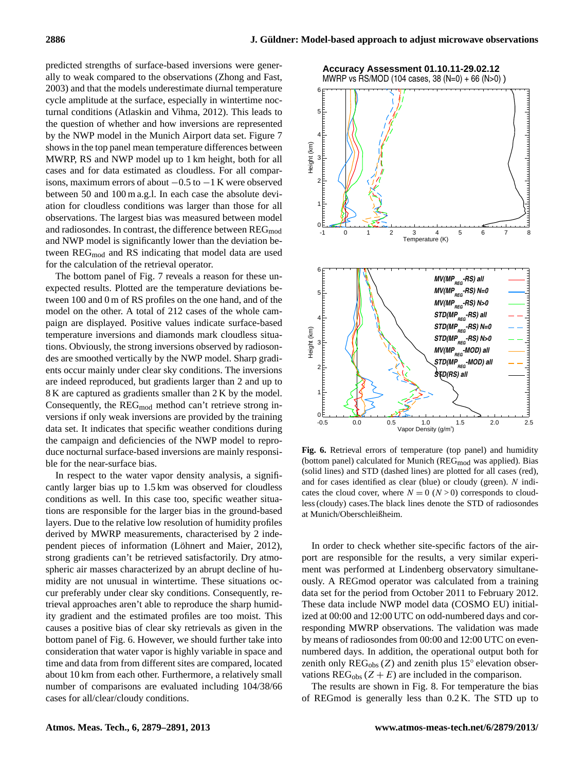predicted strengths of surface-based inversions were generally to weak compared to the observations [\(Zhong and Fast,](#page-12-10) [2003\)](#page-12-10) and that the models underestimate diurnal temperature cycle amplitude at the surface, especially in wintertime nocturnal conditions [\(Atlaskin and Vihma,](#page-11-13) [2012\)](#page-11-13). This leads to the question of whether and how inversions are represented by the NWP model in the Munich Airport data set. Figure [7](#page-8-0) shows in the top panel mean temperature differences between MWRP, RS and NWP model up to 1 km height, both for all cases and for data estimated as cloudless. For all comparisons, maximum errors of about  $-0.5$  to  $-1$  K were observed between 50 and 100 m a.g.l. In each case the absolute deviation for cloudless conditions was larger than those for all observations. The largest bias was measured between model and radiosondes. In contrast, the difference between  $\text{REG}_{\text{mod}}$ and NWP model is significantly lower than the deviation between REG<sub>mod</sub> and RS indicating that model data are used for the calculation of the retrieval operator.

The bottom panel of Fig. [7](#page-8-0) reveals a reason for these unexpected results. Plotted are the temperature deviations between 100 and 0 m of RS profiles on the one hand, and of the model on the other. A total of 212 cases of the whole campaign are displayed. Positive values indicate surface-based temperature inversions and diamonds mark cloudless situations. Obviously, the strong inversions observed by radiosondes are smoothed vertically by the NWP model. Sharp gradients occur mainly under clear sky conditions. The inversions are indeed reproduced, but gradients larger than 2 and up to 8 K are captured as gradients smaller than 2 K by the model. Consequently, the  $REG_{mod}$  method can't retrieve strong inversions if only weak inversions are provided by the training data set. It indicates that specific weather conditions during the campaign and deficiencies of the NWP model to reproduce nocturnal surface-based inversions are mainly responsible for the near-surface bias.

In respect to the water vapor density analysis, a significantly larger bias up to 1.5 km was observed for cloudless conditions as well. In this case too, specific weather situations are responsible for the larger bias in the ground-based layers. Due to the relative low resolution of humidity profiles derived by MWRP measurements, characterised by 2 independent pieces of information [\(Löhnert and Maier,](#page-12-5) [2012\)](#page-12-5), strong gradients can't be retrieved satisfactorily. Dry atmospheric air masses characterized by an abrupt decline of humidity are not unusual in wintertime. These situations occur preferably under clear sky conditions. Consequently, retrieval approaches aren't able to reproduce the sharp humidity gradient and the estimated profiles are too moist. This causes a positive bias of clear sky retrievals as given in the bottom panel of Fig. [6.](#page-7-0) However, we should further take into consideration that water vapor is highly variable in space and time and data from from different sites are compared, located about 10 km from each other. Furthermore, a relatively small number of comparisons are evaluated including 104/38/66 cases for all/clear/cloudy conditions.

<span id="page-7-0"></span>(solid lines) and STD (dashed lines) are plotted for all cases (red), (solid lines) and STD (dashed lines) are plotted for all cases (red), and for cases identified as clear (blue) or cloudy (green).  $N$  indicates the cloud cover, where  $N = 0$  ( $N > 0$ ) corresponds to cloudless (cloudy) cases.The black lines denote the STD of radiosondes at Munich/Oberschleißheim. (bottom panel) calculated for Munich  $(REG_{mod}$  was applied). Bias

In order to check whether site-specific factors of the airport are responsible for the results, a very similar experiment was performed at Lindenberg observatory simultaneously. A REGmod operator was calculated from a training data set for the period from October 2011 to February 2012. These data include NWP model data (COSMO EU) initialized at 00:00 and 12:00 UTC on odd-numbered days and corresponding MWRP observations. The validation was made by means of radiosondes from 00:00 and 12:00 UTC on evennumbered days. In addition, the operational output both for zenith only  $REG<sub>obs</sub>(Z)$  and zenith plus 15° elevation observations  $REG<sub>obs</sub> (Z + E)$  are included in the comparison.

The results are shown in Fig. [8.](#page-8-1) For temperature the bias of REGmod is generally less than 0.2 K. The STD up to



**Accuracy Assessment 01.10.11-29.02.12** MWRP vs RS/MOD (104 cases, 38 (N=0) + 66 (N>0) )

6 F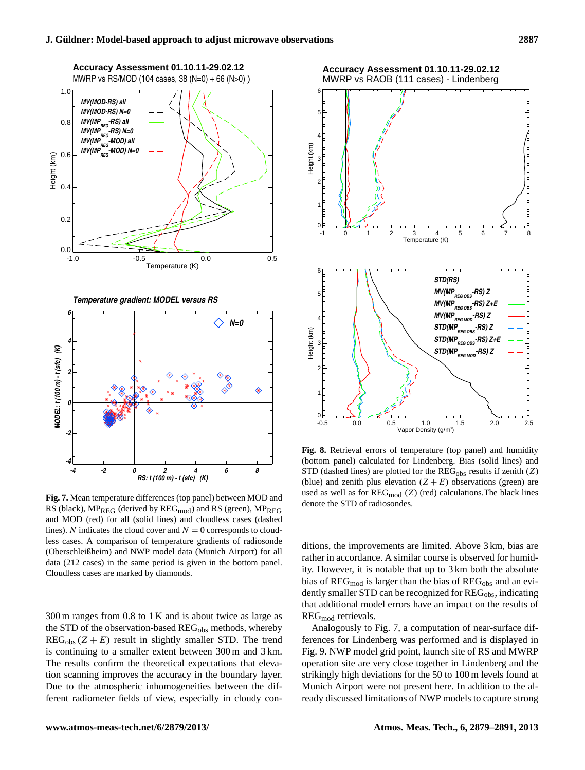

<span id="page-8-0"></span>RS (black),  $MP<sub>REG</sub>$  (derived by  $REG<sub>mod</sub>$ ) and RS (green),  $MP<sub>REG</sub>$ lines). N indicates the cloud cover and  $N = 0$  corresponds to cloudless cases. A comparison of temperature gradients of radiosonde (Oberschleißheim) and NWP model data (Munich Airport) for all data (212 cases) in the same period is given in the bottom panel. Cloudless cases are marked by diamonds. **Fig. 7.** Mean temperature differences (top panel) between MOD and and MOD (red) for all (solid lines) and cloudless cases (dashed

 $300 \text{ m}$  ranges from 0.8 to 1 K and is about twice as large as the STD of the observation-based  $REG<sub>obs</sub>$  methods, whereby  $REG<sub>obs</sub>(Z + E)$  result in slightly smaller STD. The trend is continuing to a smaller extent between 300 m and 3 km. The results confirm the theoretical expectations that elevation scanning improves the accuracy in the boundary layer. Due to the atmospheric inhomogeneities between the different radiometer fields of view, especially in cloudy con-



<span id="page-8-1"></span>STD (dashed lines) are plotted for the  $REG<sub>obs</sub>$  results if zenith (Z) (blue) and zenith plus elevation  $(Z + E)$  observations (green) are used as well as for  $REG_{mod} (Z)$  (red) calculations. The black lines denote the STD of radiosondes. **Fig. 8.** Retrieval errors of temperature (top panel) and humidity (bottom panel) calculated for Lindenberg. Bias (solid lines) and

ditions, the improvements are limited. Above 3 km, bias are rather in accordance. A similar course is observed for humidity. However, it is notable that up to 3 km both the absolute bias of  $REG_{mod}$  is larger than the bias of  $REG_{obs}$  and an evidently smaller STD can be recognized for  $REG<sub>obs</sub>$ , indicating that additional model errors have an impact on the results of REGmod retrievals.

Analogously to Fig. [7,](#page-8-0) a computation of near-surface differences for Lindenberg was performed and is displayed in Fig. [9.](#page-9-0) NWP model grid point, launch site of RS and MWRP operation site are very close together in Lindenberg and the strikingly high deviations for the 50 to 100 m levels found at Munich Airport were not present here. In addition to the already discussed limitations of NWP models to capture strong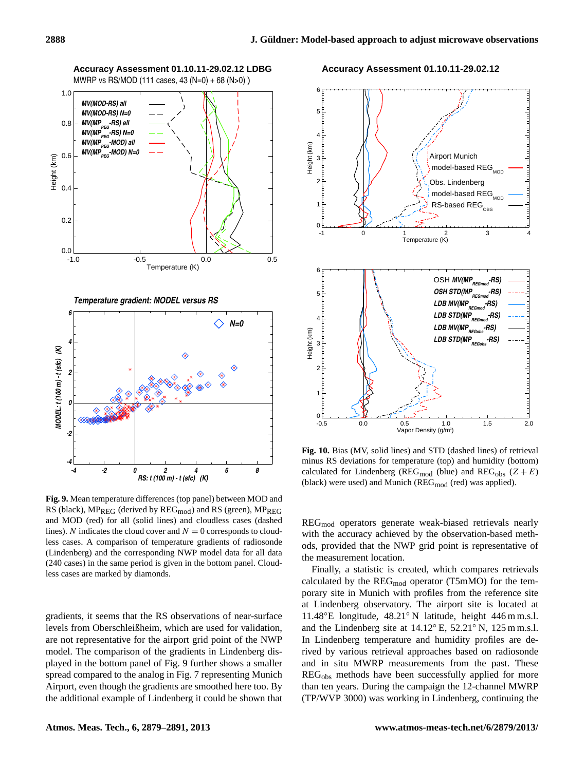

<span id="page-9-0"></span> $RS$  (black), MP<sub>REG</sub> (derived by  $REG_{mod}$ ) and RS (green), MP<sub>REG</sub> (derived by  $REG_{mod}$ ) and MOD (red) for all (solid lines) and croduless cases (dashed<br>lines). N indicates the cloud cover and  $N = 0$  corresponds to cloud- $R$  and  $R$  and  $R$  and  $R$  and  $R$  and  $R$  and  $R$  and  $R$  and  $R$  and  $R$  and  $R$  and  $R$  and  $R$  and  $R$  and  $R$  and  $R$  and  $R$  and  $R$  and  $R$  and  $R$  and  $R$  and  $R$  and  $R$  and  $R$  and  $R$  and  $R$  and  $R$  and  $R$  a (Lindenberg) and the corresponding NWP model data for all data  $(240 \text{ cases})$  in the same period is given in the bottom panel. Cloudless cases are marked by diamonds. **Fig. 9.** Mean temperature differences (top panel) between MOD and and MOD (red) for all (solid lines) and cloudless cases (dashed

gradients, it seems that the RS observations of near-surface levels from Oberschleißheim, which are used for validation, are not representative for the airport grid point of the NWP model. The comparison of the gradients in Lindenberg displayed in the bottom panel of Fig. [9](#page-9-0) further shows a smaller spread compared to the analog in Fig. [7](#page-8-0) representing Munich Airport, even though the gradients are smoothed here too. By the additional example of Lindenberg it could be shown that



<span id="page-9-1"></span>calculated for Lindenberg ( $\overline{\text{REG}_{\text{mod}}}$  (blue) and  $\overline{\text{REG}_{\text{obs}}}$  ( $Z + E$ ) (black) were used) and Munich ( $REG_{mod}$  (red) was applied). **Fig. 10.** Bias (MV, solid lines) and STD (dashed lines) of retrieval minus RS deviations for temperature (top) and humidity (bottom)

 $REG_{mod}$  operators generate weak-biased retrievals nearly with the accuracy achieved by the observation-based methods, provided that the NWP grid point is representative of the measurement location.

Finally, a statistic is created, which compares retrievals calculated by the  $REG_{mod}$  operator (T5mMO) for the temporary site in Munich with profiles from the reference site at Lindenberg observatory. The airport site is located at 11.48◦E longitude, 48.21◦ N latitude, height 446 m m.s.l. and the Lindenberg site at 14.12◦ E, 52.21◦ N, 125 m m.s.l. In Lindenberg temperature and humidity profiles are derived by various retrieval approaches based on radiosonde and in situ MWRP measurements from the past. These REGobs methods have been successfully applied for more than ten years. During the campaign the 12-channel MWRP (TP/WVP 3000) was working in Lindenberg, continuing the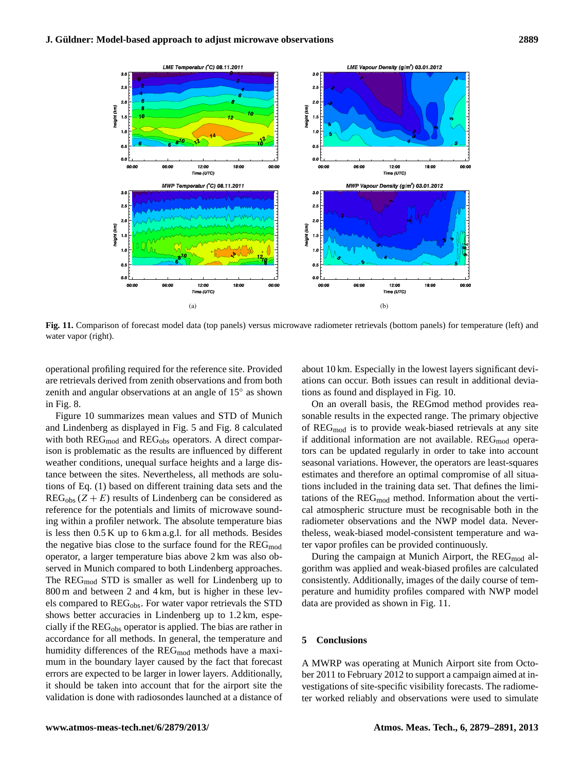

<span id="page-10-0"></span>Fig. 11. Comparison of forecast model data (top panels) versus microwave radiometer retrievals (bottom panels) for temperature (left) and water vapor (right).

operational profiling required for the reference site. Provided are retrievals derived from zenith observations and from both zenith and angular observations at an angle of 15° as shown in Fig. [8.](#page-8-1)

Figure [10](#page-9-1) summarizes mean values and STD of Munich and Lindenberg as displayed in Fig. [5](#page-6-0) and Fig. [8](#page-8-1) calculated with both  $REG_{mod}$  and  $REG_{obs}$  operators. A direct comparison is problematic as the results are influenced by different weather conditions, unequal surface heights and a large distance between the sites. Nevertheless, all methods are solutions of Eq. (1) based on different training data sets and the  $REG<sub>obs</sub>(Z + E)$  results of Lindenberg can be considered as reference for the potentials and limits of microwave sounding within a profiler network. The absolute temperature bias is less then 0.5 K up to 6 km a.g.l. for all methods. Besides the negative bias close to the surface found for the  $REG_{mod}$ operator, a larger temperature bias above 2 km was also observed in Munich compared to both Lindenberg approaches. The  $REG_{mod}$  STD is smaller as well for Lindenberg up to 800 m and between 2 and 4 km, but is higher in these levels compared to REGobs. For water vapor retrievals the STD shows better accuracies in Lindenberg up to 1.2 km, especially if the  $REG<sub>obs</sub>$  operator is applied. The bias are rather in accordance for all methods. In general, the temperature and humidity differences of the REG<sub>mod</sub> methods have a maximum in the boundary layer caused by the fact that forecast errors are expected to be larger in lower layers. Additionally, it should be taken into account that for the airport site the validation is done with radiosondes launched at a distance of

about 10 km. Especially in the lowest layers significant deviations can occur. Both issues can result in additional deviations as found and displayed in Fig. [10.](#page-9-1)

On an overall basis, the REGmod method provides reasonable results in the expected range. The primary objective of  $REG_{mod}$  is to provide weak-biased retrievals at any site if additional information are not available.  $REG_{mod}$  operators can be updated regularly in order to take into account seasonal variations. However, the operators are least-squares estimates and therefore an optimal compromise of all situations included in the training data set. That defines the limitations of the  $REG_{mod}$  method. Information about the vertical atmospheric structure must be recognisable both in the radiometer observations and the NWP model data. Nevertheless, weak-biased model-consistent temperature and water vapor profiles can be provided continuously.

During the campaign at Munich Airport, the  $REG_{mod}$  algorithm was applied and weak-biased profiles are calculated consistently. Additionally, images of the daily course of temperature and humidity profiles compared with NWP model data are provided as shown in Fig. [11.](#page-10-0)

#### **5 Conclusions**

A MWRP was operating at Munich Airport site from October 2011 to February 2012 to support a campaign aimed at investigations of site-specific visibility forecasts. The radiometer worked reliably and observations were used to simulate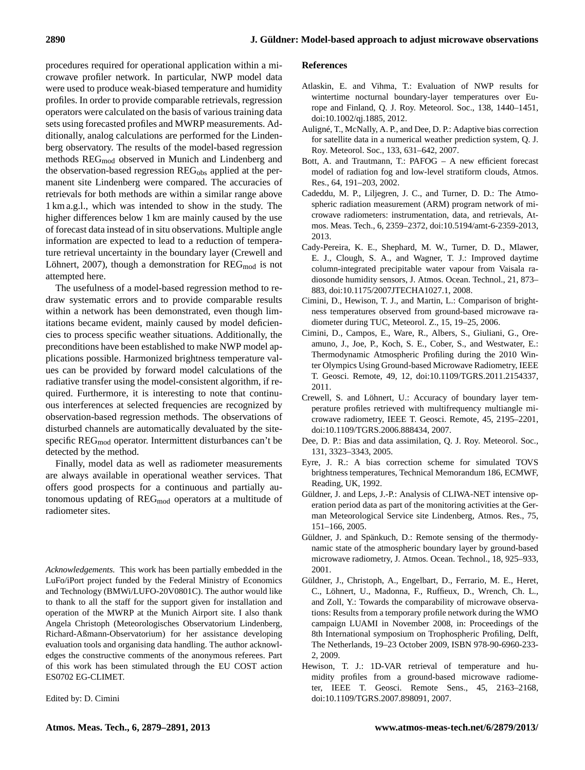procedures required for operational application within a microwave profiler network. In particular, NWP model data were used to produce weak-biased temperature and humidity profiles. In order to provide comparable retrievals, regression operators were calculated on the basis of various training data sets using forecasted profiles and MWRP measurements. Additionally, analog calculations are performed for the Lindenberg observatory. The results of the model-based regression methods REG<sub>mod</sub> observed in Munich and Lindenberg and the observation-based regression REG<sub>obs</sub> applied at the permanent site Lindenberg were compared. The accuracies of retrievals for both methods are within a similar range above 1 km a.g.l., which was intended to show in the study. The higher differences below 1 km are mainly caused by the use of forecast data instead of in situ observations. Multiple angle information are expected to lead to a reduction of temperature retrieval uncertainty in the boundary layer [\(Crewell and](#page-11-12) [Löhnert,](#page-11-12) [2007\)](#page-11-12), though a demonstration for  $REG_{mod}$  is not attempted here.

The usefulness of a model-based regression method to redraw systematic errors and to provide comparable results within a network has been demonstrated, even though limitations became evident, mainly caused by model deficiencies to process specific weather situations. Additionally, the preconditions have been established to make NWP model applications possible. Harmonized brightness temperature values can be provided by forward model calculations of the radiative transfer using the model-consistent algorithm, if required. Furthermore, it is interesting to note that continuous interferences at selected frequencies are recognized by observation-based regression methods. The observations of disturbed channels are automatically devaluated by the sitespecific REG<sub>mod</sub> operator. Intermittent disturbances can't be detected by the method.

Finally, model data as well as radiometer measurements are always available in operational weather services. That offers good prospects for a continuous and partially autonomous updating of  $REG_{mod}$  operators at a multitude of radiometer sites.

*Acknowledgements.* This work has been partially embedded in the LuFo/iPort project funded by the Federal Ministry of Economics and Technology (BMWi/LUFO-20V0801C). The author would like to thank to all the staff for the support given for installation and operation of the MWRP at the Munich Airport site. I also thank Angela Christoph (Meteorologisches Observatorium Lindenberg, Richard-Aßmann-Observatorium) for her assistance developing evaluation tools and organising data handling. The author acknowledges the constructive comments of the anonymous referees. Part of this work has been stimulated through the EU COST action ES0702 EG-CLIMET.

Edited by: D. Cimini

#### **References**

- <span id="page-11-13"></span>Atlaskin, E. and Vihma, T.: Evaluation of NWP results for wintertime nocturnal boundary-layer temperatures over Europe and Finland, Q. J. Roy. Meteorol. Soc., 138, 1440–1451, doi[:10.1002/qj.1885,](http://dx.doi.org/10.1002/qj.1885) 2012.
- <span id="page-11-3"></span>Auligné, T., McNally, A. P., and Dee, D. P.: Adaptive bias correction for satellite data in a numerical weather prediction system, Q. J. Roy. Meteorol. Soc., 133, 631–642, 2007.
- <span id="page-11-0"></span>Bott, A. and Trautmann, T.: PAFOG – A new efficient forecast model of radiation fog and low-level stratiform clouds, Atmos. Res., 64, 191–203, 2002.
- <span id="page-11-5"></span>Cadeddu, M. P., Liljegren, J. C., and Turner, D. D.: The Atmospheric radiation measurement (ARM) program network of microwave radiometers: instrumentation, data, and retrievals, Atmos. Meas. Tech., 6, 2359–2372, doi[:10.5194/amt-6-2359-2013,](http://dx.doi.org/10.5194/amt-6-2359-2013) 2013.
- <span id="page-11-8"></span>Cady-Pereira, K. E., Shephard, M. W., Turner, D. D., Mlawer, E. J., Clough, S. A., and Wagner, T. J.: Improved daytime column-integrated precipitable water vapour from Vaisala radiosonde humidity sensors, J. Atmos. Ocean. Technol., 21, 873– 883, doi[:10.1175/2007JTECHA1027.1,](http://dx.doi.org/10.1175/2007JTECHA1027.1) 2008.
- <span id="page-11-4"></span>Cimini, D., Hewison, T. J., and Martin, L.: Comparison of brightness temperatures observed from ground-based microwave radiometer during TUC, Meteorol. Z., 15, 19–25, 2006.
- <span id="page-11-10"></span>Cimini, D., Campos, E., Ware, R., Albers, S., Giuliani, G., Oreamuno, J., Joe, P., Koch, S. E., Cober, S., and Westwater, E.: Thermodynamic Atmospheric Profiling during the 2010 Winter Olympics Using Ground-based Microwave Radiometry, IEEE T. Geosci. Remote, 49, 12, doi[:10.1109/TGRS.2011.2154337,](http://dx.doi.org/10.1109/TGRS.2011.2154337) 2011.
- <span id="page-11-12"></span>Crewell, S. and Löhnert, U.: Accuracy of boundary layer temperature profiles retrieved with multifrequency multiangle microwave radiometry, IEEE T. Geosci. Remote, 45, 2195–2201, doi[:10.1109/TGRS.2006.888434,](http://dx.doi.org/10.1109/TGRS.2006.888434) 2007.
- <span id="page-11-2"></span>Dee, D. P.: Bias and data assimilation, Q. J. Roy. Meteorol. Soc., 131, 3323–3343, 2005.
- <span id="page-11-1"></span>Eyre, J. R.: A bias correction scheme for simulated TOVS brightness temperatures, Technical Memorandum 186, ECMWF, Reading, UK, 1992.
- <span id="page-11-7"></span>Güldner, J. and Leps, J.-P.: Analysis of CLIWA-NET intensive operation period data as part of the monitoring activities at the German Meteorological Service site Lindenberg, Atmos. Res., 75, 151–166, 2005.
- <span id="page-11-6"></span>Güldner, J. and Spänkuch, D.: Remote sensing of the thermodynamic state of the atmospheric boundary layer by ground-based microwave radiometry, J. Atmos. Ocean. Technol., 18, 925–933, 2001.
- <span id="page-11-11"></span>Güldner, J., Christoph, A., Engelbart, D., Ferrario, M. E., Heret, C., Löhnert, U., Madonna, F., Ruffieux, D., Wrench, Ch. L., and Zoll, Y.: Towards the comparability of microwave observations: Results from a temporary profile network during the WMO campaign LUAMI in November 2008, in: Proceedings of the 8th International symposium on Trophospheric Profiling, Delft, The Netherlands, 19–23 October 2009, ISBN 978-90-6960-233- 2, 2009.
- <span id="page-11-9"></span>Hewison, T. J.: 1D-VAR retrieval of temperature and humidity profiles from a ground-based microwave radiometer, IEEE T. Geosci. Remote Sens., 45, 2163–2168, doi[:10.1109/TGRS.2007.898091,](http://dx.doi.org/10.1109/TGRS.2007.898091) 2007.